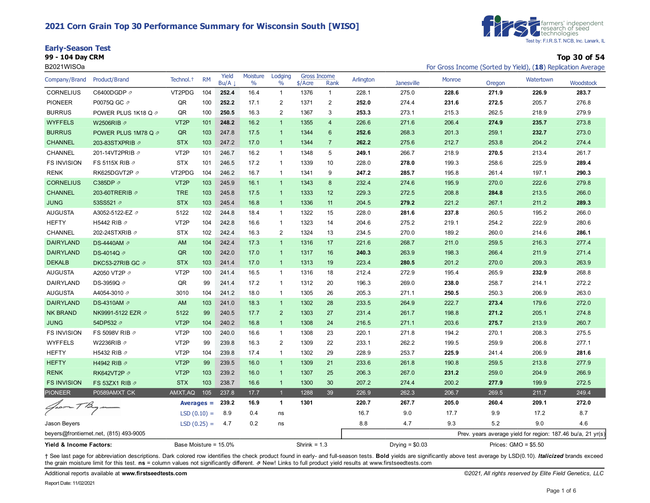#### **2021 Corn Grain Top 30 Performance Summary for Wisconsin South [WISO]**





**99 - 104 Day CRM Top 30 of 54** B2021WISOa **For Gross Income (Sorted by Yield), (18**) Replication Average

| Company/Brand           | <b>Product/Brand</b>                   | Technol. <sup>+</sup> | <b>RM</b>     | Yield<br>Bu/A | Moisture<br>$\%$ | Lodging<br>$\%$         | <b>Gross Income</b><br>$$/$ Acre | Rank           | Arlington | <b>Janesville</b> | <b>Monroe</b> | Oregon | Watertown                                                   | Woodstock |
|-------------------------|----------------------------------------|-----------------------|---------------|---------------|------------------|-------------------------|----------------------------------|----------------|-----------|-------------------|---------------|--------|-------------------------------------------------------------|-----------|
| <b>CORNELIUS</b>        | C6400DGDP ク                            | VT2PDG                | 104           | 252.4         | 16.4             | $\mathbf{1}$            | 1376                             | $\mathbf{1}$   | 228.1     | 275.0             | 228.6         | 271.9  | 226.9                                                       | 283.7     |
| <b>PIONEER</b>          | P0075Q GC 2                            | QR                    | 100           | 252.2         | 17.1             | $\overline{\mathbf{c}}$ | 1371                             | 2              | 252.0     | 274.4             | 231.6         | 272.5  | 205.7                                                       | 276.8     |
| <b>BURRUS</b>           | POWER PLUS 1K18 Q 2                    | QR                    | 100           | 250.5         | 16.3             | $\overline{2}$          | 1367                             | 3              | 253.3     | 273.1             | 215.3         | 262.5  | 218.9                                                       | 279.9     |
| <b>WYFFELS</b>          | W2506RIB 2                             | VT <sub>2</sub> P     | 101           | 248.2         | 16.2             | $\overline{1}$          | 1355                             | $\overline{4}$ | 226.6     | 271.6             | 206.4         | 274.9  | 235.7                                                       | 273.8     |
| <b>BURRUS</b>           | POWER PLUS 1M78 Q 2                    | QR                    | 103           | 247.8         | 17.5             | $\mathbf{1}$            | 1344                             | $6\phantom{1}$ | 252.6     | 268.3             | 201.3         | 259.1  | 232.7                                                       | 273.0     |
| <b>CHANNEL</b>          | 203-83STXPRIB 2                        | <b>STX</b>            | 103           | 247.2         | 17.0             | $\overline{1}$          | 1344                             | $\overline{7}$ | 262.2     | 275.6             | 212.7         | 253.8  | 204.2                                                       | 274.4     |
| <b>CHANNEL</b>          | 201-14VT2PRIB ク                        | VT <sub>2</sub> P     | 101           | 246.7         | 16.2             | $\mathbf{1}$            | 1348                             | 5              | 249.1     | 266.7             | 218.9         | 270.5  | 213.4                                                       | 261.7     |
| <b>FS INVISION</b>      | FS 5115X RIB 2                         | <b>STX</b>            | 101           | 246.5         | 17.2             | $\mathbf{1}$            | 1339                             | 10             | 228.0     | 278.0             | 199.3         | 258.6  | 225.9                                                       | 289.4     |
| <b>RENK</b>             | RK625DGVT2P                            | VT2PDG                | 104           | 246.2         | 16.7             | $\mathbf{1}$            | 1341                             | 9              | 247.2     | 285.7             | 195.8         | 261.4  | 197.1                                                       | 290.3     |
| <b>CORNELIUS</b>        | C385DP 2                               | VT <sub>2</sub> P     | 103           | 245.9         | 16.1             | $\mathbf{1}$            | 1343                             | 8              | 232.4     | 274.6             | 195.9         | 270.0  | 222.6                                                       | 279.8     |
| <b>CHANNEL</b>          | 203-60TRERIB ク                         | <b>TRE</b>            | 103           | 245.8         | 17.5             | $\mathbf{1}$            | 1333                             | 12             | 229.3     | 272.5             | 208.8         | 284.8  | 213.5                                                       | 266.0     |
| <b>JUNG</b>             | 53SS521 2                              | <b>STX</b>            | 103           | 245.4         | 16.8             | $\overline{1}$          | 1336                             | 11             | 204.5     | 279.2             | 221.2         | 267.1  | 211.2                                                       | 289.3     |
| <b>AUGUSTA</b>          | A3052-5122-EZ ク                        | 5122                  | 102           | 244.8         | 18.4             | $\mathbf{1}$            | 1322                             | 15             | 228.0     | 281.6             | 237.8         | 260.5  | 195.2                                                       | 266.0     |
| <b>HEFTY</b>            | H5442 RIB 2                            | VT <sub>2</sub> P     | 104           | 242.8         | 16.6             | $\mathbf{1}$            | 1323                             | 14             | 204.6     | 275.2             | 219.1         | 254.2  | 222.9                                                       | 280.6     |
| <b>CHANNEL</b>          | 202-24STXRIB の                         | <b>STX</b>            | 102           | 242.4         | 16.3             | 2                       | 1324                             | 13             | 234.5     | 270.0             | 189.2         | 260.0  | 214.6                                                       | 286.1     |
| <b>DAIRYLAND</b>        | DS-4440AM 2                            | AM                    | 104           | 242.4         | 17.3             | $\overline{1}$          | 1316                             | 17             | 221.6     | 268.7             | 211.0         | 259.5  | 216.3                                                       | 277.4     |
| <b>DAIRYLAND</b>        | DS-4014Q ∂                             | QR                    | 100           | 242.0         | 17.0             | $\mathbf{1}$            | 1317                             | 16             | 240.3     | 263.9             | 198.3         | 266.4  | 211.9                                                       | 271.4     |
| <b>DEKALB</b>           | DKC53-27RIB GC ク                       | <b>STX</b>            | 103           | 241.4         | 17.0             | $\mathbf{1}$            | 1313                             | 19             | 223.4     | 280.5             | 201.2         | 270.0  | 209.3                                                       | 263.9     |
| <b>AUGUSTA</b>          | A2050 VT2P 2                           | VT <sub>2</sub> P     | 100           | 241.4         | 16.5             | $\mathbf{1}$            | 1316                             | 18             | 212.4     | 272.9             | 195.4         | 265.9  | 232.9                                                       | 268.8     |
| DAIRYLAND               | DS-3959Q ク                             | QR                    | 99            | 241.4         | 17.2             | $\mathbf{1}$            | 1312                             | 20             | 196.3     | 269.0             | 238.0         | 258.7  | 214.1                                                       | 272.2     |
| <b>AUGUSTA</b>          | A4054-3010 ⊉                           | 3010                  | 104           | 241.2         | 18.0             | $\mathbf{1}$            | 1305                             | 26             | 205.3     | 271.1             | 250.5         | 250.3  | 206.9                                                       | 263.0     |
| <b>DAIRYLAND</b>        | DS-4310AM の                            | AM                    | 103           | 241.0         | 18.3             | $\overline{1}$          | 1302                             | 28             | 233.5     | 264.9             | 222.7         | 273.4  | 179.6                                                       | 272.0     |
| <b>NK BRAND</b>         | NK9991-5122 EZR Ø                      | 5122                  | 99            | 240.5         | 17.7             | $\overline{2}$          | 1303                             | 27             | 231.4     | 261.7             | 198.8         | 271.2  | 205.1                                                       | 274.8     |
| <b>JUNG</b>             | 54DP532 2                              | VT <sub>2</sub> P     | 104           | 240.2         | 16.8             | $\mathbf{1}$            | 1308                             | 24             | 216.5     | 271.1             | 203.6         | 275.7  | 213.9                                                       | 260.7     |
| <b>FS INVISION</b>      | FS 5098V RIB 2                         | VT <sub>2</sub> P     | 100           | 240.0         | 16.6             | $\mathbf{1}$            | 1308                             | 23             | 220.1     | 271.8             | 194.2         | 270.1  | 208.3                                                       | 275.5     |
| <b>WYFFELS</b>          | W2236RIB 2                             | VT <sub>2</sub> P     | 99            | 239.8         | 16.3             | 2                       | 1309                             | 22             | 233.1     | 262.2             | 199.5         | 259.9  | 206.8                                                       | 277.1     |
| <b>HEFTY</b>            | H5432 RIB 2                            | VT <sub>2</sub> P     | 104           | 239.8         | 17.4             | $\mathbf{1}$            | 1302                             | 29             | 228.9     | 253.7             | 225.9         | 241.4  | 206.9                                                       | 281.6     |
| <b>HEFTY</b>            | H4942 RIB ク                            | VT <sub>2</sub> P     | 99            | 239.5         | 16.0             | $\overline{1}$          | 1309                             | 21             | 233.6     | 261.8             | 190.8         | 259.5  | 213.8                                                       | 277.9     |
| <b>RENK</b>             | RK642VT2P 2                            | VT <sub>2</sub> P     | 103           | 239.2         | 16.0             | $\overline{1}$          | 1307                             | 25             | 206.3     | 267.0             | 231.2         | 259.0  | 204.9                                                       | 266.9     |
| <b>FS INVISION</b>      | FS 53ZX1 RIB 2                         | <b>STX</b>            | 103           | 238.7         | 16.6             | $\mathbf{1}$            | 1300                             | 30             | 207.2     | 274.4             | 200.2         | 277.9  | 199.9                                                       | 272.5     |
| <b>PIONEER</b>          | P0589AMXT CK                           | AMXT, AQ              | 105           | 237.8         | 17.7             | $\overline{1}$          | 1288                             | 39             | 226.9     | 262.3             | 206.7         | 269.5  | 211.7                                                       | 249.4     |
| Groom TB                |                                        |                       | Averages $=$  | 239.2         | 16.9             | $\blacktriangleleft$    | 1301                             |                | 220.7     | 267.7             | 205.0         | 260.4  | 209.1                                                       | 272.0     |
|                         |                                        |                       | $LSD(0.10) =$ | 8.9           | 0.4              | ns                      |                                  |                | 16.7      | 9.0               | 17.7          | 9.9    | 17.2                                                        | 8.7       |
| Jason Beyers            |                                        |                       | $LSD(0.25) =$ | 4.7           | 0.2              | ns                      |                                  |                | 8.8       | 4.7               | 9.3           | 5.2    | 9.0                                                         | 4.6       |
|                         | beyers@frontiernet.net, (815) 493-9005 |                       |               |               |                  |                         |                                  |                |           |                   |               |        | Prev. years average yield for region: 187.46 bu/a, 21 yr(s) |           |
| Yield & Income Factors: |                                        | Base Moisture = 15.0% |               |               |                  |                         | Shrink = $1.3$                   |                |           | Drying = $$0.03$  |               |        | Prices: $GMO = $5.50$                                       |           |

+ See last page for abbreviation descriptions. Dark colored row identifies the check product found in early- and full-season tests. Bold yields are significantly above test average by LSD(0.10). Italicized brands exceed the grain moisture limit for this test. **ns** = column values not significantly different. ⇗ New! Links to full product yield results at www.firstseedtests.com

Additional reports available at **[www.firstseedtests.com](https://www.firstseedtests.com)** *©2021, All rights reserved by Elite Field Genetics, LLC*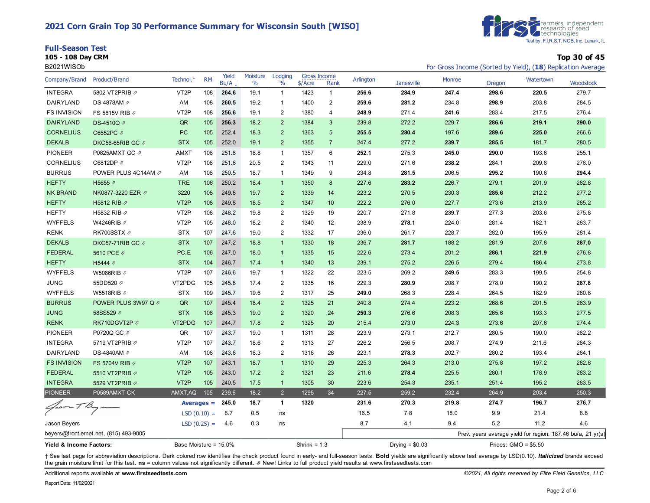#### **2021 Corn Grain Top 30 Performance Summary for Wisconsin South [WISO]**

|  | <b>Full-Season Test</b> |  |
|--|-------------------------|--|
|--|-------------------------|--|



**105 - 108 Day CRM Top 30 of 45**

| B2021WISOb              |                                        |                       |               |               |                           |                          |                           |                |           |                   |        |        | For Gross Income (Sorted by Yield), (18) Replication Average |           |
|-------------------------|----------------------------------------|-----------------------|---------------|---------------|---------------------------|--------------------------|---------------------------|----------------|-----------|-------------------|--------|--------|--------------------------------------------------------------|-----------|
| Company/Brand           | Product/Brand                          | Technol. <sup>+</sup> | <b>RM</b>     | Yield<br>Bu/A | Moisture<br>$\frac{0}{0}$ | Lodging<br>$\frac{0}{0}$ | Gross Income<br>$$/$ Acre | Rank           | Arlington | <b>Janesville</b> | Monroe | Oregon | Watertown                                                    | Woodstock |
| <b>INTEGRA</b>          | 5802 VT2PRIB 2                         | VT <sub>2</sub> P     | 108           | 264.6         | 19.1                      | $\mathbf{1}$             | 1423                      | $\mathbf{1}$   | 256.6     | 284.9             | 247.4  | 298.6  | 220.5                                                        | 279.7     |
| DAIRYLAND               | DS-4878AM 2                            | AM                    | 108           | 260.5         | 19.2                      | $\mathbf{1}$             | 1400                      | 2              | 259.6     | 281.2             | 234.8  | 298.9  | 203.8                                                        | 284.5     |
| <b>FS INVISION</b>      | FS 5815V RIB 2                         | VT <sub>2</sub> P     | 108           | 256.6         | 19.1                      | $\sqrt{2}$               | 1380                      | 4              | 248.9     | 271.4             | 241.6  | 283.4  | 217.5                                                        | 276.4     |
| <b>DAIRYLAND</b>        | DS-4510Q 2                             | QR                    | 105           | 256.3         | 18.2                      | $\overline{2}$           | 1384                      | $\mathbf{3}$   | 239.8     | 272.2             | 229.7  | 286.6  | 219.1                                                        | 290.0     |
| <b>CORNELIUS</b>        | C6552PC 2                              | <b>PC</b>             | 105           | 252.4         | 18.3                      | $\overline{2}$           | 1363                      | 5              | 255.5     | 280.4             | 197.6  | 289.6  | 225.0                                                        | 266.6     |
| <b>DEKALB</b>           | DKC56-65RIB GC ク                       | <b>STX</b>            | 105           | 252.0         | 19.1                      | $\overline{2}$           | 1355                      | $\overline{7}$ | 247.4     | 277.2             | 239.7  | 285.5  | 181.7                                                        | 280.5     |
| <b>PIONEER</b>          | P0825AMXT GC 2                         | <b>AMXT</b>           | 108           | 251.8         | 18.8                      | $\mathbf{1}$             | 1357                      | 6              | 252.1     | 275.3             | 245.0  | 290.0  | 193.6                                                        | 255.1     |
| <b>CORNELIUS</b>        | C6812DP 2                              | VT <sub>2</sub> P     | 108           | 251.8         | 20.5                      | $\overline{\mathbf{c}}$  | 1343                      | 11             | 229.0     | 271.6             | 238.2  | 284.1  | 209.8                                                        | 278.0     |
| <b>BURRUS</b>           | POWER PLUS 4C14AM 2                    | AM                    | 108           | 250.5         | 18.7                      | 1                        | 1349                      | 9              | 234.8     | 281.5             | 206.5  | 295.2  | 190.6                                                        | 294.4     |
| <b>HEFTY</b>            | H5655 2                                | <b>TRE</b>            | 106           | 250.2         | 18.4                      | $\mathbf{1}$             | 1350                      | 8              | 227.6     | 283.2             | 226.7  | 279.1  | 201.9                                                        | 282.8     |
| <b>NK BRAND</b>         | NK0877-3220 EZR Ø                      | 3220                  | 108           | 249.8         | 19.7                      | $\overline{2}$           | 1339                      | 14             | 223.2     | 270.5             | 230.3  | 285.6  | 212.2                                                        | 277.2     |
| <b>HEFTY</b>            | H5812 RIB 2                            | VT <sub>2</sub> P     | 108           | 249.8         | 18.5                      | $\overline{2}$           | 1347                      | 10             | 222.2     | 276.0             | 227.7  | 273.6  | 213.9                                                        | 285.2     |
| <b>HEFTY</b>            | H5832 RIB 2                            | VT <sub>2</sub> P     | 108           | 248.2         | 19.8                      | $\overline{2}$           | 1329                      | 19             | 220.7     | 271.8             | 239.7  | 277.3  | 203.6                                                        | 275.8     |
| <b>WYFFELS</b>          | W4246RIB ⊉                             | VT <sub>2</sub> P     | 105           | 248.0         | 18.2                      | 2                        | 1340                      | 12             | 238.9     | 278.1             | 224.0  | 281.4  | 182.1                                                        | 283.7     |
| <b>RENK</b>             | RK700SSTX 2                            | <b>STX</b>            | 107           | 247.6         | 19.0                      | 2                        | 1332                      | 17             | 236.0     | 261.7             | 228.7  | 282.0  | 195.9                                                        | 281.4     |
| <b>DEKALB</b>           | DKC57-71RIB GC 2                       | <b>STX</b>            | 107           | 247.2         | 18.8                      | $\mathbf{1}$             | 1330                      | 18             | 236.7     | 281.7             | 188.2  | 281.9  | 207.8                                                        | 287.0     |
| <b>FEDERAL</b>          | 5610 PCE 2                             | PC,E                  | 106           | 247.0         | 18.0                      | $\overline{1}$           | 1335                      | 15             | 222.6     | 273.4             | 201.2  | 286.1  | 221.9                                                        | 276.8     |
| <b>HEFTY</b>            | H5444 2                                | <b>STX</b>            | 104           | 246.7         | 17.4                      | $\overline{1}$           | 1340                      | 13             | 239.1     | 275.2             | 226.5  | 279.4  | 186.4                                                        | 273.8     |
| <b>WYFFELS</b>          | W5086RIB 2                             | VT <sub>2</sub> P     | 107           | 246.6         | 19.7                      | $\overline{1}$           | 1322                      | 22             | 223.5     | 269.2             | 249.5  | 283.3  | 199.5                                                        | 254.8     |
| <b>JUNG</b>             | 55DD520 2                              | VT2PDG                | 105           | 245.8         | 17.4                      | $\sqrt{2}$               | 1335                      | 16             | 229.3     | 280.9             | 208.7  | 278.0  | 190.2                                                        | 287.8     |
| <b>WYFFELS</b>          | W5518RIB Ø                             | <b>STX</b>            | 109           | 245.7         | 19.6                      | $\overline{2}$           | 1317                      | 25             | 249.0     | 268.3             | 228.4  | 264.5  | 182.9                                                        | 280.8     |
| <b>BURRUS</b>           | POWER PLUS 3W97 Q 2                    | QR                    | 107           | 245.4         | 18.4                      | 2                        | 1325                      | 21             | 240.8     | 274.4             | 223.2  | 268.6  | 201.5                                                        | 263.9     |
| <b>JUNG</b>             | 58SS529 2                              | <b>STX</b>            | 108           | 245.3         | 19.0                      | $\overline{2}$           | 1320                      | 24             | 250.3     | 276.6             | 208.3  | 265.6  | 193.3                                                        | 277.5     |
| <b>RENK</b>             | RK710DGVT2P                            | VT2PDG                | 107           | 244.7         | 17.8                      | $\overline{2}$           | 1325                      | 20             | 215.4     | 273.0             | 224.3  | 273.6  | 207.6                                                        | 274.4     |
| <b>PIONEER</b>          | P0720Q GC 2                            | QR                    | 107           | 243.7         | 19.0                      | $\mathbf{1}$             | 1311                      | 28             | 223.9     | 273.1             | 212.7  | 280.5  | 190.0                                                        | 282.2     |
| <b>INTEGRA</b>          | 5719 VT2PRIB 2                         | VT <sub>2</sub> P     | 107           | 243.7         | 18.6                      | 2                        | 1313                      | 27             | 226.2     | 256.5             | 208.7  | 274.9  | 211.6                                                        | 284.3     |
| DAIRYLAND               | DS-4840AM 2                            | AM                    | 108           | 243.6         | 18.3                      | 2                        | 1316                      | 26             | 223.1     | 278.3             | 202.7  | 280.2  | 193.4                                                        | 284.1     |
| <b>FS INVISION</b>      | FS 5704V RIB 2                         | VT <sub>2</sub> P     | 107           | 243.1         | 18.7                      | $\mathbf 1$              | 1310                      | 29             | 225.3     | 264.3             | 213.0  | 275.8  | 197.2                                                        | 282.8     |
| <b>FEDERAL</b>          | 5510 VT2PRIB 2                         | VT <sub>2</sub> P     | 105           | 243.0         | 17.2                      | $\overline{2}$           | 1321                      | 23             | 211.6     | 278.4             | 225.5  | 280.1  | 178.9                                                        | 283.2     |
| <b>INTEGRA</b>          | 5529 VT2PRIB 2                         | VT <sub>2</sub> P     | 105           | 240.5         | 17.5                      | $\mathbf{1}$             | 1305                      | 30             | 223.6     | 254.3             | 235.1  | 251.4  | 195.2                                                        | 283.5     |
| <b>PIONEER</b>          | P0589AMXT CK                           | AMXT, AQ              | 105           | 239.6         | 18.2                      | $\overline{2}$           | 1295                      | 34             | 227.5     | 259.2             | 232.4  | 264.9  | 203.4                                                        | 250.3     |
| $40 - 78$               |                                        |                       | $Averages =$  | 245.0         | 18.7                      | $\mathbf{1}$             | 1320                      |                | 231.6     | 270.3             | 219.8  | 274.7  | 196.7                                                        | 276.7     |
|                         |                                        |                       | $LSD(0.10) =$ | 8.7           | 0.5                       | ns                       |                           |                | 16.5      | 7.8               | 18.0   | 9.9    | 21.4                                                         | 8.8       |
| Jason Beyers            |                                        |                       | $LSD(0.25) =$ | 4.6           | 0.3                       | ns                       |                           |                | 8.7       | 4.1               | 9.4    | 5.2    | 11.2                                                         | 4.6       |
|                         | beyers@frontiernet.net, (815) 493-9005 |                       |               |               |                           |                          |                           |                |           |                   |        |        | Prev. years average yield for region: 187.46 bu/a, 21 yr(s)  |           |
| Yield & Income Factors: |                                        | Base Moisture = 15.0% |               |               |                           |                          | Shrink = $1.3$            |                |           | Drying = $$0.03$  |        |        | Prices: $GMO = $5.50$                                        |           |

+ See last page for abbreviation descriptions. Dark colored row identifies the check product found in early- and full-season tests. Bold yields are significantly above test average by LSD(0.10). Italicized brands exceed the grain moisture limit for this test. **ns** = column values not significantly different. ⇗ New! Links to full product yield results at www.firstseedtests.com

Additional reports available at **[www.firstseedtests.com](https://www.firstseedtests.com)** *©2021, All rights reserved by Elite Field Genetics, LLC*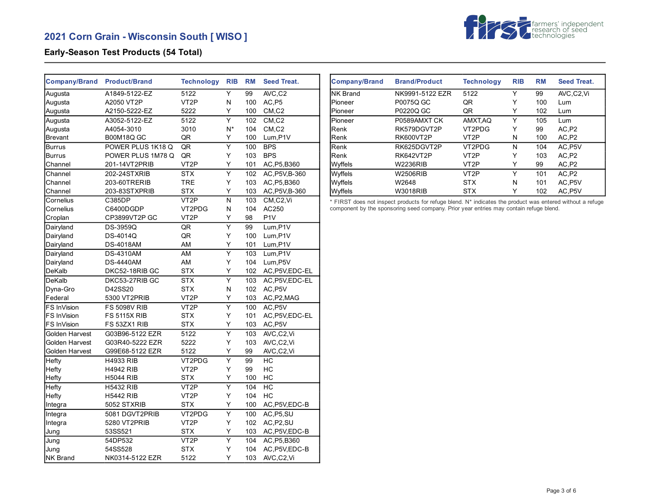

## **Early-Season Test Products (54 Total)**

| <b>Company/Brand</b> | <b>Product/Brand</b> | <b>Technology</b>  | <b>RIB</b>              | <b>RM</b> | <b>Seed Treat.</b>               |
|----------------------|----------------------|--------------------|-------------------------|-----------|----------------------------------|
| Augusta              | A1849-5122-EZ        | 5122               | Y                       | 99        | AVC,C2                           |
| Augusta              | A2050 VT2P           | VT <sub>2</sub> P  | Ν                       | 100       | AC,P5                            |
| Augusta              | A2150-5222-EZ        | 5222               | Y                       | 100       | CM, C2                           |
| Augusta              | A3052-5122-EZ        | 5122               | Υ                       | 102       | $CM$ <sub>,<math>C2</math></sub> |
| Augusta              | A4054-3010           | 3010               | $N^*$                   | 104       | CM, C2                           |
| <b>Brevant</b>       | <b>B00M18Q GC</b>    | QR                 | Y                       | 100       | Lum, P1V                         |
| Burrus               | POWER PLUS 1K18 Q    | QR                 | Ÿ                       | 100       | <b>BPS</b>                       |
| <b>Burrus</b>        | POWER PLUS 1M78 Q    | QR                 | Υ                       | 103       | <b>BPS</b>                       |
| Channel              | 201-14VT2PRIB        | VT <sub>2</sub> P  | Y                       | 101       | AC, P5, B360                     |
| Channel              | 202-24STXRIB         | <b>STX</b>         | $\overline{\mathsf{Y}}$ | 102       | AC, P5V, B-360                   |
| Channel              | 203-60TRERIB         | <b>TRE</b>         | Y                       | 103       | AC, P5, B360                     |
| Channel              | 203-83STXPRIB        | <b>STX</b>         | Υ                       | 103       | AC, P5V, B-360                   |
| Cornelius            | C385DP               | VT <sub>2</sub> P  | N                       | 103       | CM,C2,Vi                         |
| Cornelius            | C6400DGDP            | VT2PDG             | N                       | 104       | AC250                            |
| Croplan              | CP3899VT2P GC        | VT <sub>2</sub> P  | Υ                       | 98        | P <sub>1</sub> V                 |
| Dairyland            | <b>DS-3959Q</b>      | QR                 | Y                       | 99        | Lum, P1V                         |
| Dairyland            | DS-4014Q             | QR                 | Y                       | 100       | Lum, P1V                         |
| Dairyland            | <b>DS-4018AM</b>     | AM                 | Y                       | 101       | Lum, P1V                         |
| Dairyland            | <b>DS-4310AM</b>     | AM                 | Y                       | 103       | Lum, P1V                         |
| Dairyland            | <b>DS-4440AM</b>     | AM                 | Υ                       | 104       | Lum, P5V                         |
| DeKalb               | DKC52-18RIB GC       | <b>STX</b>         | Υ                       | 102       | AC, P5V, EDC-EL                  |
| DeKalb               | DKC53-27RIB GC       | <b>STX</b>         | Υ                       | 103       | AC, P5V, EDC-EL                  |
| Dyna-Gro             | D42SS20              | <b>STX</b>         | N                       | 102       | AC, P5V                          |
| Federal              | 5300 VT2PRIB         | VT <sub>2</sub> P  | Y                       | 103       | AC, P2, MAG                      |
| FS InVision          | <b>FS 5098V RIB</b>  | VT <sub>2</sub> P  | Ÿ                       | 100       | AC.P5V                           |
| FS InVision          | <b>FS 5115X RIB</b>  | <b>STX</b>         | Υ                       | 101       | AC, P5V, EDC-EL                  |
| FS InVision          | FS 53ZX1 RIB         | <b>STX</b>         | Y                       | 103       | AC, P5V                          |
| Golden Harvest       | G03B96-5122 EZR      | $\overline{5}$ 122 | $\overline{\mathsf{Y}}$ | 103       | AVC,C2,Vi                        |
| Golden Harvest       | G03R40-5222 EZR      | 5222               | Υ                       | 103       | AVC,C2,Vi                        |
| Golden Harvest       | G99E68-5122 EZR      | 5122               | Υ                       | 99        | AVC,C2,Vi                        |
| Hefty                | <b>H4933 RIB</b>     | VT2PDG             | $\overline{\mathsf{Y}}$ | 99        | HC                               |
| Hefty                | <b>H4942 RIB</b>     | VT <sub>2</sub> P  | Υ                       | 99        | НC                               |
| Hefty                | <b>H5044 RIB</b>     | <b>STX</b>         | Υ                       | 100       | НC                               |
| <b>Hefty</b>         | <b>H5432 RIB</b>     | VT <sub>2</sub> P  | Ÿ                       | 104       | HC                               |
| Hefty                | <b>H5442 RIB</b>     | VT <sub>2</sub> P  | Y                       | 104       | HC                               |
| Integra              | 5052 STXRIB          | <b>STX</b>         | Υ                       | 100       | AC, P5V, EDC-B                   |
| Integra              | 5081 DGVT2PRIB       | VT2PDG             | Υ                       | 100       | AC, P5, SU                       |
| Integra              | 5280 VT2PRIB         | VT <sub>2</sub> P  | Υ                       | 102       | AC, P2, SU                       |
| Jung                 | 53SS521              | <b>STX</b>         | Υ                       | 103       | AC, P5V, EDC-B                   |
| Jung                 | 54DP532              | VT <sub>2</sub> P  | Y                       | 104       | AC, P5, B360                     |
| Jung                 | 54SS528              | <b>STX</b>         | Υ                       | 104       | AC, P5V, EDC-B                   |
| <b>NK Brand</b>      | NK0314-5122 EZR      | 5122               | Υ                       | 103       | AVC,C2,Vi                        |

| <b>Company/Brand</b> | <b>Brand/Product</b> | <b>Technology</b> | <b>RIB</b> | <b>RM</b> | <b>Seed Treat.</b> |
|----------------------|----------------------|-------------------|------------|-----------|--------------------|
| <b>NK Brand</b>      | NK9991-5122 EZR      | 5122              | Υ          | 99        | AVC.C2.Vi          |
| Pioneer              | P0075Q GC            | QR                | Y          | 100       | Lum                |
| lPioneer             | P0220Q GC            | QR                | Y          | 102       | Lum                |
| <b>Pioneer</b>       | P0589AMXTCK          | AMXT.AQ           | Y          | 105       | Lum                |
| lRenk                | RK579DGVT2P          | VT2PDG            | Υ          | 99        | AC,P2              |
| Renk                 | <b>RK600VT2P</b>     | VT2P              | N          | 100       | AC.P2              |
| Renk                 | RK625DGVT2P          | VT2PDG            | N          | 104       | AC.P5V             |
| <b>Renk</b>          | RK642VT2P            | VT2P              | Y          | 103       | AC,P2              |
| <b>Wyffels</b>       | W2236RIB             | VT2P              | Υ          | 99        | AC,P2              |
| Wyffels              | <b>W2506RIB</b>      | VT <sub>2</sub> P | Y          | 101       | AC.P2              |
| Wyffels              | W2648                | <b>STX</b>        | N          | 101       | AC, P5V            |
| Wyffels              | <b>W3018RIB</b>      | <b>STX</b>        | Υ          | 102       | AC, P5V            |

\* FIRST does not inspect products for refuge blend. N\* indicates the product was entered without a refuge component by the sponsoring seed company. Prior year entries may contain refuge blend.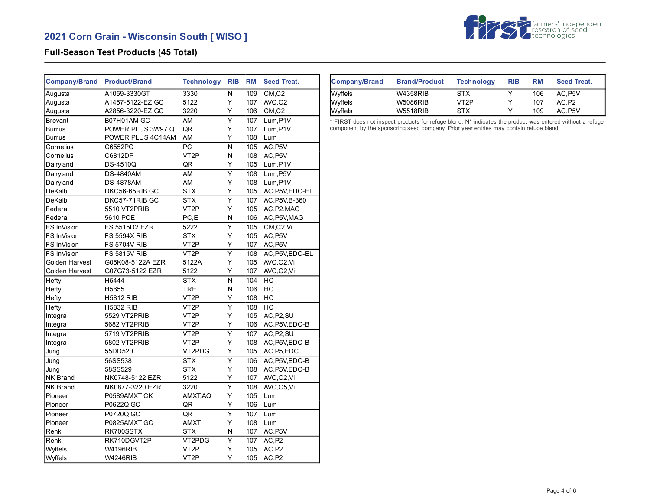

## **Full-Season Test Products (45 Total)**

| <b>Company/Brand</b> | <b>Product/Brand</b> | <b>Technology</b> | <b>RIB</b>              | <b>RM</b> | <b>Seed Treat.</b>     |
|----------------------|----------------------|-------------------|-------------------------|-----------|------------------------|
| Augusta              | A1059-3330GT         | 3330              | N                       | 109       | CM, C2                 |
| Augusta              | A1457-5122-EZ GC     | 5122              | Y                       | 107       | AVC,C2                 |
| Augusta              | A2856-3220-EZ GC     | 3220              | Υ                       | 106       | CM, C2                 |
| <b>Brevant</b>       | B07H01AM GC          | AM                | $\overline{\mathsf{Y}}$ | 107       | Lum, P1V               |
| Burrus               | POWER PLUS 3W97 Q    | QR                | Υ                       | 107       | Lum, P1V               |
| Burrus               | POWER PLUS 4C14AM    | AM                | Y                       | 108       | Lum                    |
| Cornelius            | C6552PC              | PC                | N                       | 105       | $AC,$ $\overline{PSV}$ |
| Cornelius            | C6812DP              | VT <sub>2</sub> P | N                       | 108       | AC, P5V                |
| Dairyland            | <b>DS-4510Q</b>      | QR                | Y                       | 105       | Lum, P1V               |
| Dairyland            | <b>DS-4840AM</b>     | AM                | $\overline{\mathsf{Y}}$ | 108       | Lum, P5V               |
| Dairyland            | <b>DS-4878AM</b>     | AM                | Y                       | 108       | Lum, P1V               |
| DeKalb               | DKC56-65RIB GC       | <b>STX</b>        | Y                       | 105       | AC, P5V, EDC-EL        |
| DeKalb               | DKC57-71RIB GC       | <b>STX</b>        | $\overline{\mathsf{Y}}$ | 107       | AC, P5V, B-360         |
| Federal              | 5510 VT2PRIB         | VT <sub>2</sub> P | Y                       | 105       | AC, P2, MAG            |
| Federal              | 5610 PCE             | PC,E              | N                       | 106       | AC, P5V, MAG           |
| FS InVision          | FS 5515D2 EZR        | 5222              | Y                       | 105       | CM,C2,Vi               |
| FS InVision          | <b>FS 5594X RIB</b>  | <b>STX</b>        | Υ                       | 105       | AC, P5V                |
| FS InVision          | <b>FS 5704V RIB</b>  | VT <sub>2</sub> P | Y                       | 107       | AC, P5V                |
| FS InVision          | <b>FS 5815V RIB</b>  | VT <sub>2</sub> P | Υ                       | 108       | AC, P5V, EDC-EL        |
| Golden Harvest       | G05K08-5122A EZR     | 5122A             | Y                       | 105       | AVC,C2,Vi              |
| Golden Harvest       | G07G73-5122 EZR      | 5122              | Υ                       | 107       | AVC,C2,Vi              |
| Hefty                | H5444                | <b>STX</b>        | N                       | 104       | НC                     |
| Hefty                | H5655                | TRE               | N                       | 106       | HC                     |
| Hefty                | <b>H5812 RIB</b>     | VT <sub>2</sub> P | Y                       | 108       | НC                     |
| Hefty                | <b>H5832 RIB</b>     | VT <sub>2</sub> P | $\overline{\mathsf{Y}}$ | 108       | HC                     |
| Integra              | 5529 VT2PRIB         | VT <sub>2</sub> P | Υ                       | 105       | AC, P2, SU             |
| Integra              | 5682 VT2PRIB         | VT <sub>2</sub> P | Y                       | 106       | AC, P5V, EDC-B         |
| Integra              | 5719 VT2PRIB         | VT <sub>2</sub> P | $\overline{\mathsf{Y}}$ | 107       | AC, P2, SU             |
| Integra              | 5802 VT2PRIB         | VT <sub>2</sub> P | Y                       | 108       | AC, P5V, EDC-B         |
| Jung                 | 55DD520              | VT2PDG            | Υ                       | 105       | AC, P5, EDC            |
| Jung                 | 56SS538              | <b>STX</b>        | $\overline{\mathsf{Y}}$ | 106       | AC, P5V, EDC-B         |
| Jung                 | 58SS529              | <b>STX</b>        | Υ                       | 108       | AC, P5V, EDC-B         |
| NK Brand             | NK0748-5122 EZR      | 5122              | Υ                       | 107       | AVC,C2,Vi              |
| <b>NK Brand</b>      | NK0877-3220 EZR      | 3220              | Ÿ                       | 108       | AVC,C5,Vi              |
| Pioneer              | P0589AMXT CK         | AMXT, AQ          | Υ                       | 105       | Lum                    |
| Pioneer              | P0622Q GC            | QR                | Y                       | 106       | Lum                    |
| Pioneer              | P0720Q GC            | QR                | Y                       | 107       | Lum                    |
| Pioneer              | P0825AMXT GC         | <b>AMXT</b>       | Υ                       | 108       | Lum                    |
| Renk                 | RK700SSTX            | <b>STX</b>        | N                       | 107       | AC, P5V                |
| Renk                 | RK710DGVT2P          | VT2PDG            | Υ                       | 107       | AC,P2                  |
| Wyffels              | <b>W4196RIB</b>      | VT <sub>2</sub> P | Υ                       | 105       | AC,P2                  |
| Wyffels              | <b>W4246RIB</b>      | VT <sub>2</sub> P | Y                       | 105       | AC, P2                 |

| <b>Company/Brand</b> | <b>Brand/Product</b> | <b>Technology</b> | <b>RIB</b> | <b>RM</b> | <b>Seed Treat.</b> |
|----------------------|----------------------|-------------------|------------|-----------|--------------------|
| Wyffels              | W4358RIB             | STX               |            | 106       | AC.P5V             |
| Wyffels              | W5086RIB             | VT2P              |            | 107       | AC.P2              |
| Wyffels              | <b>W5518RIB</b>      | STX               |            | 109       | AC P5V             |

\* FIRST does not inspect products for refuge blend. N\* indicates the product was entered without a refuge component by the sponsoring seed company. Prior year entries may contain refuge blend.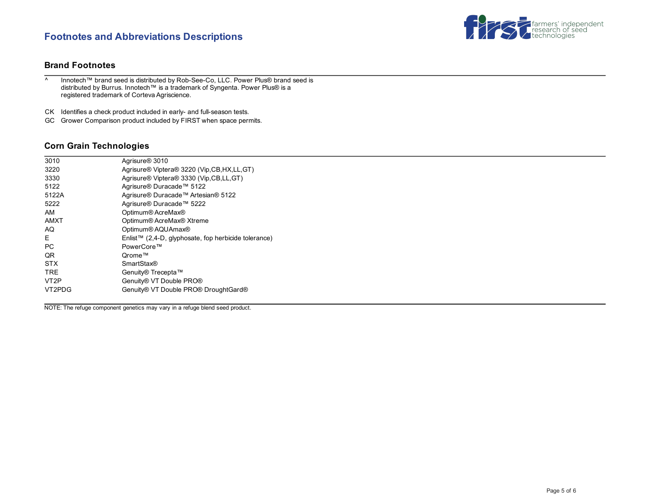# **Footnotes and Abbreviations Descriptions**



#### **Brand Footnotes**

^ Innotech™ brand seed is distributed by Rob-See-Co, LLC. Power Plus® brand seed is distributed by Burrus. Innotech™ is a trademark of Syngenta. Power Plus® is a registered trademark of Corteva Agriscience.

CK Identifies a check product included in early- and full-season tests.

GC Grower Comparison product included by FIRST when space permits.

#### **Corn Grain Technologies**

| 3010              | Agrisure <sup>®</sup> 3010                           |
|-------------------|------------------------------------------------------|
| 3220              | Agrisure® Viptera® 3220 (Vip, CB, HX, LL, GT)        |
| 3330              | Agrisure® Viptera® 3330 (Vip, CB, LL, GT)            |
| 5122              | Agrisure® Duracade™ 5122                             |
| 5122A             | Agrisure® Duracade™ Artesian® 5122                   |
| 5222              | Agrisure® Duracade™ 5222                             |
| AM                | Optimum® AcreMax®                                    |
| AMXT              | Optimum® AcreMax® Xtreme                             |
| AQ                | Optimum® AQUAmax®                                    |
| F.                | Enlist™ (2,4-D, glyphosate, fop herbicide tolerance) |
| <b>PC</b>         | PowerCore™                                           |
| QR.               | Orome™                                               |
| <b>STX</b>        | <b>SmartStax®</b>                                    |
| <b>TRF</b>        | Genuity® Trecepta™                                   |
| VT <sub>2</sub> P | Genuity® VT Double PRO®                              |
| VT2PDG            | Genuity® VT Double PRO® DroughtGard®                 |
|                   |                                                      |

NOTE: The refuge component genetics may vary in a refuge blend seed product.